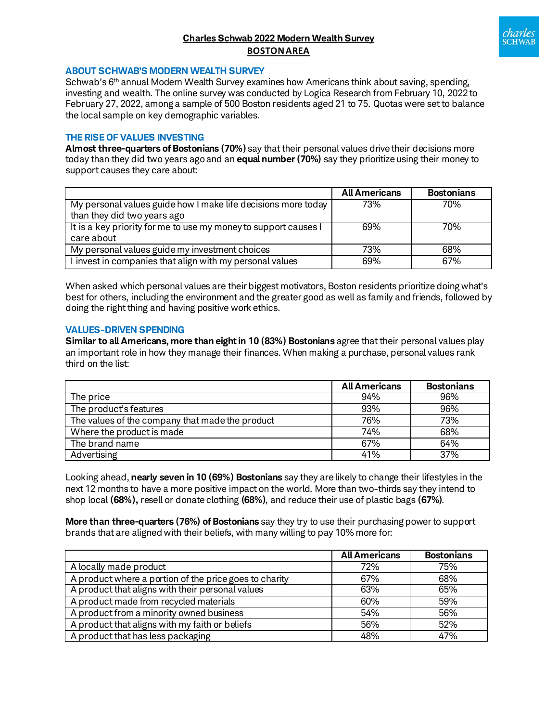# **Charles Schwab 2022 Modern Wealth Survey BOSTONAREA**



#### **ABOUT SCHWAB'S MODERN WEALTH SURVEY**

Schwab's 6<sup>th</sup> annual Modern Wealth Survey examines how Americans think about saving, spending, investing and wealth. The online survey was conducted by Logica Research from February 10, 2022 to February 27, 2022, among a sample of 500 Boston residents aged 21 to 75. Quotas were set to balance the local sample on key demographic variables.

### **THE RISE OF VALUES INVESTING**

**Almost three-quarters of Bostonians (70%)** say that their personal values drive their decisions more today than they did two years agoand an **equal number (70%)** say they prioritize using their money to support causes they care about:

|                                                                 | <b>All Americans</b> | <b>Bostonians</b> |
|-----------------------------------------------------------------|----------------------|-------------------|
| My personal values guide how I make life decisions more today   | 73%                  | 70%               |
| than they did two years ago                                     |                      |                   |
| It is a key priority for me to use my money to support causes I | 69%                  | 70%               |
| care about                                                      |                      |                   |
| My personal values guide my investment choices                  | 73%                  | 68%               |
| I invest in companies that align with my personal values        | 69%                  | 67%               |

When asked which personal values are their biggest motivators, Boston residents prioritize doing what's best for others, including the environment and the greater good as well as family and friends, followed by doing the right thing and having positive work ethics.

#### **VALUES-DRIVEN SPENDING**

**Similar to all Americans, more than eight in 10 (83%) Bostonians** agree that their personal values play an important role in how they manage their finances. When making a purchase, personal values rank third on the list:

|                                                 | <b>All Americans</b> | <b>Bostonians</b> |
|-------------------------------------------------|----------------------|-------------------|
| The price                                       | 94%                  | 96%               |
| The product's features                          | 93%                  | 96%               |
| The values of the company that made the product | 76%                  | 73%               |
| Where the product is made                       | 74%                  | 68%               |
| The brand name                                  | 67%                  | 64%               |
| Advertising                                     | 41%                  | 37%               |

Looking ahead, **nearly seven in 10 (69%) Bostonians** say they are likely to change their lifestyles in the next 12 months to have a more positive impact on the world. More than two-thirds say they intend to shop local **(68%),** resell or donate clothing **(68%)**, and reduce their use of plastic bags **(67%)**.

**More than three-quarters (76%) of Bostonians** say they try to use their purchasing power to support brands that are aligned with their beliefs, with many willing to pay 10% more for:

|                                                        | <b>All Americans</b> | <b>Bostonians</b> |
|--------------------------------------------------------|----------------------|-------------------|
| A locally made product                                 | 72%                  | 75%               |
| A product where a portion of the price goes to charity | 67%                  | 68%               |
| A product that aligns with their personal values       | 63%                  | 65%               |
| A product made from recycled materials                 | 60%                  | 59%               |
| A product from a minority owned business               | 54%                  | 56%               |
| A product that aligns with my faith or beliefs         | 56%                  | 52%               |
| A product that has less packaging                      | 48%                  | 47%               |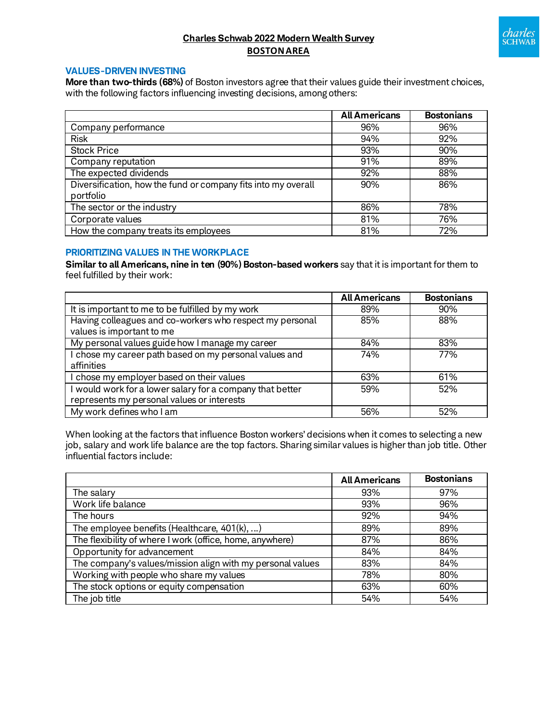

# **Charles Schwab 2022 Modern Wealth Survey BOSTONAREA**

## **VALUES-DRIVEN INVESTING**

**More than two-thirds (68%)** of Boston investors agree that their values guide their investment choices, with the following factors influencing investing decisions, among others:

|                                                               | <b>All Americans</b> | <b>Bostonians</b> |
|---------------------------------------------------------------|----------------------|-------------------|
| Company performance                                           | 96%                  | 96%               |
| <b>Risk</b>                                                   | 94%                  | 92%               |
| <b>Stock Price</b>                                            | 93%                  | 90%               |
| Company reputation                                            | 91%                  | 89%               |
| The expected dividends                                        | 92%                  | 88%               |
| Diversification, how the fund or company fits into my overall | 90%                  | 86%               |
| portfolio                                                     |                      |                   |
| The sector or the industry                                    | 86%                  | 78%               |
| Corporate values                                              | 81%                  | 76%               |
| How the company treats its employees                          | 81%                  | 72%               |

## **PRIORITIZING VALUES IN THE WORKPLACE**

**Similar to all Americans, nine in ten (90%) Boston-based workers** say that it is important for them to feel fulfilled by their work:

|                                                           | <b>All Americans</b> | <b>Bostonians</b> |
|-----------------------------------------------------------|----------------------|-------------------|
| It is important to me to be fulfilled by my work          | 89%                  | 90%               |
| Having colleagues and co-workers who respect my personal  | 85%                  | 88%               |
| values is important to me                                 |                      |                   |
| My personal values guide how I manage my career           | 84%                  | 83%               |
| I chose my career path based on my personal values and    | 74%                  | 77%               |
| affinities                                                |                      |                   |
| I chose my employer based on their values                 | 63%                  | 61%               |
| I would work for a lower salary for a company that better | 59%                  | 52%               |
| represents my personal values or interests                |                      |                   |
| My work defines who I am                                  | 56%                  | 52%               |

When looking at the factors that influence Boston workers' decisions when it comes to selecting a new job, salary and work life balance are the top factors. Sharing similar values is higher than job title. Other influential factors include:

|                                                            | <b>All Americans</b> | <b>Bostonians</b> |
|------------------------------------------------------------|----------------------|-------------------|
| The salary                                                 | 93%                  | 97%               |
| Work life balance                                          | 93%                  | 96%               |
| The hours                                                  | 92%                  | 94%               |
| The employee benefits (Healthcare, $401(k), $ )            | 89%                  | 89%               |
| The flexibility of where I work (office, home, anywhere)   | 87%                  | 86%               |
| Opportunity for advancement                                | 84%                  | 84%               |
| The company's values/mission align with my personal values | 83%                  | 84%               |
| Working with people who share my values                    | 78%                  | 80%               |
| The stock options or equity compensation                   | 63%                  | 60%               |
| The job title                                              | 54%                  | 54%               |